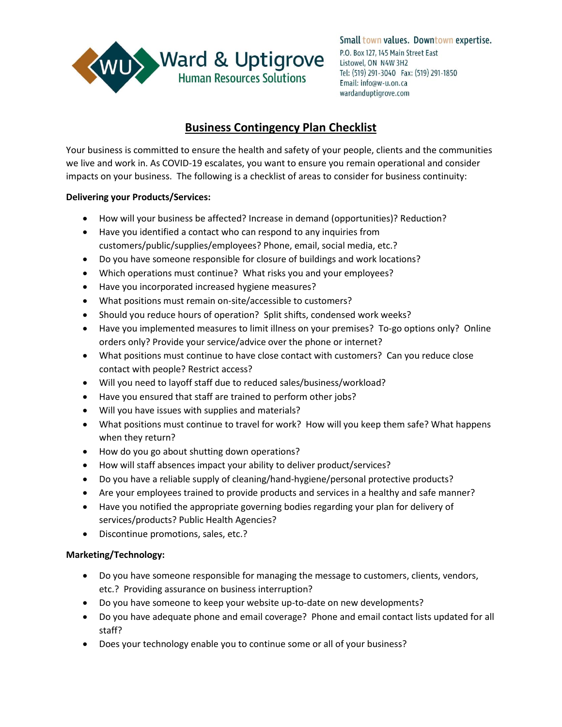

Small town values. Downtown expertise. P.O. Box 127, 145 Main Street East Listowel, ON N4W 3H2 Tel: (519) 291-3040 Fax: (519) 291-1850 Email: info@w-u.on.ca wardanduptigrove.com

# **Business Contingency Plan Checklist**

Your business is committed to ensure the health and safety of your people, clients and the communities we live and work in. As COVID-19 escalates, you want to ensure you remain operational and consider impacts on your business. The following is a checklist of areas to consider for business continuity:

# **Delivering your Products/Services:**

- How will your business be affected? Increase in demand (opportunities)? Reduction?
- Have you identified a contact who can respond to any inquiries from customers/public/supplies/employees? Phone, email, social media, etc.?
- Do you have someone responsible for closure of buildings and work locations?
- Which operations must continue? What risks you and your employees?
- Have you incorporated increased hygiene measures?
- What positions must remain on-site/accessible to customers?
- Should you reduce hours of operation? Split shifts, condensed work weeks?
- Have you implemented measures to limit illness on your premises? To-go options only? Online orders only? Provide your service/advice over the phone or internet?
- What positions must continue to have close contact with customers? Can you reduce close contact with people? Restrict access?
- Will you need to layoff staff due to reduced sales/business/workload?
- Have you ensured that staff are trained to perform other jobs?
- Will you have issues with supplies and materials?
- What positions must continue to travel for work? How will you keep them safe? What happens when they return?
- How do you go about shutting down operations?
- How will staff absences impact your ability to deliver product/services?
- Do you have a reliable supply of cleaning/hand-hygiene/personal protective products?
- Are your employees trained to provide products and services in a healthy and safe manner?
- Have you notified the appropriate governing bodies regarding your plan for delivery of services/products? Public Health Agencies?
- Discontinue promotions, sales, etc.?

# **Marketing/Technology:**

- Do you have someone responsible for managing the message to customers, clients, vendors, etc.? Providing assurance on business interruption?
- Do you have someone to keep your website up-to-date on new developments?
- Do you have adequate phone and email coverage? Phone and email contact lists updated for all staff?
- Does your technology enable you to continue some or all of your business?